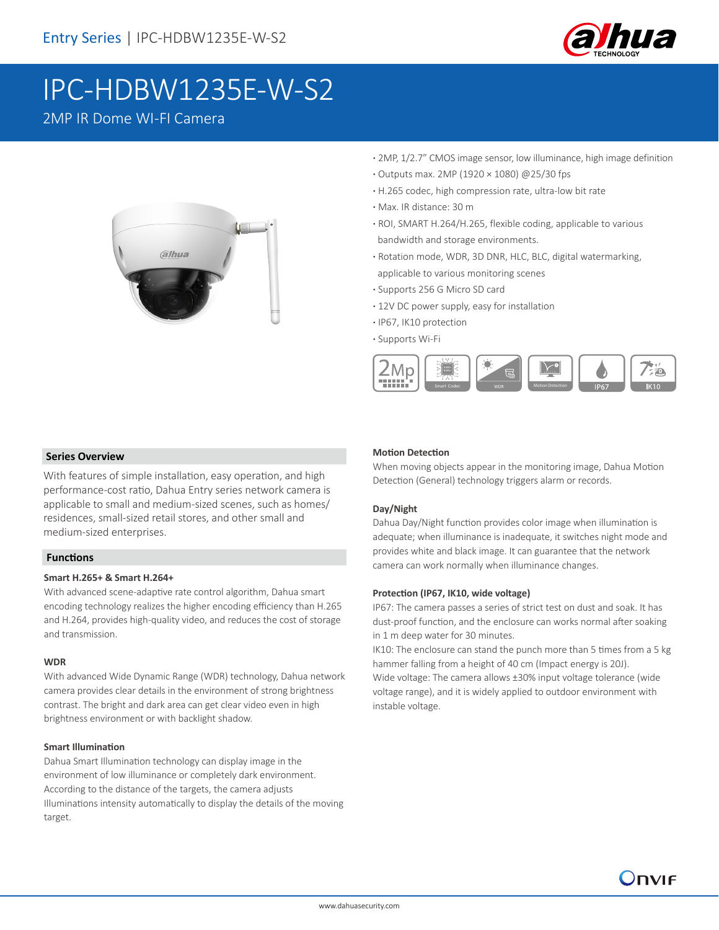

# IPC-HDBW1235E-W-S2

# 2MP IR Dome WI-FI Camera



- **·** 2MP, 1/2.7" CMOS image sensor, low illuminance, high image definition
- **·** Outputs max. 2MP (1920 × 1080) @25/30 fps
- **·** H.265 codec, high compression rate, ultra-low bit rate
- **·** Max. IR distance: 30 m
- **·** ROI, SMART H.264/H.265, flexible coding, applicable to various bandwidth and storage environments.
- **·** Rotation mode, WDR, 3D DNR, HLC, BLC, digital watermarking, applicable to various monitoring scenes
- **·** Supports 256 G Micro SD card
- **·** 12V DC power supply, easy for installation
- **·** IP67, IK10 protection
- **·** Supports Wi-Fi



#### **Series Overview**

With features of simple installation, easy operation, and high performance-cost ratio, Dahua Entry series network camera is applicable to small and medium-sized scenes, such as homes/ residences, small-sized retail stores, and other small and medium-sized enterprises.

#### **Functions**

#### **Smart H.265+ & Smart H.264+**

With advanced scene-adaptive rate control algorithm, Dahua smart encoding technology realizes the higher encoding efficiency than H.265 and H.264, provides high-quality video, and reduces the cost of storage and transmission.

#### **WDR**

With advanced Wide Dynamic Range (WDR) technology, Dahua network camera provides clear details in the environment of strong brightness contrast. The bright and dark area can get clear video even in high brightness environment or with backlight shadow.

#### **Smart Illumination**

Dahua Smart Illumination technology can display image in the environment of low illuminance or completely dark environment. According to the distance of the targets, the camera adjusts Illuminations intensity automatically to display the details of the moving target.

#### **Motion Detection**

When moving objects appear in the monitoring image, Dahua Motion Detection (General) technology triggers alarm or records.

#### **Day/Night**

Dahua Day/Night function provides color image when illumination is adequate; when illuminance is inadequate, it switches night mode and provides white and black image. It can guarantee that the network camera can work normally when illuminance changes.

#### **Protection (IP67, IK10, wide voltage)**

IP67: The camera passes a series of strict test on dust and soak. It has dust-proof function, and the enclosure can works normal after soaking in 1 m deep water for 30 minutes.

IK10: The enclosure can stand the punch more than 5 times from a 5 kg hammer falling from a height of 40 cm (Impact energy is 20J). Wide voltage: The camera allows ±30% input voltage tolerance (wide voltage range), and it is widely applied to outdoor environment with instable voltage.

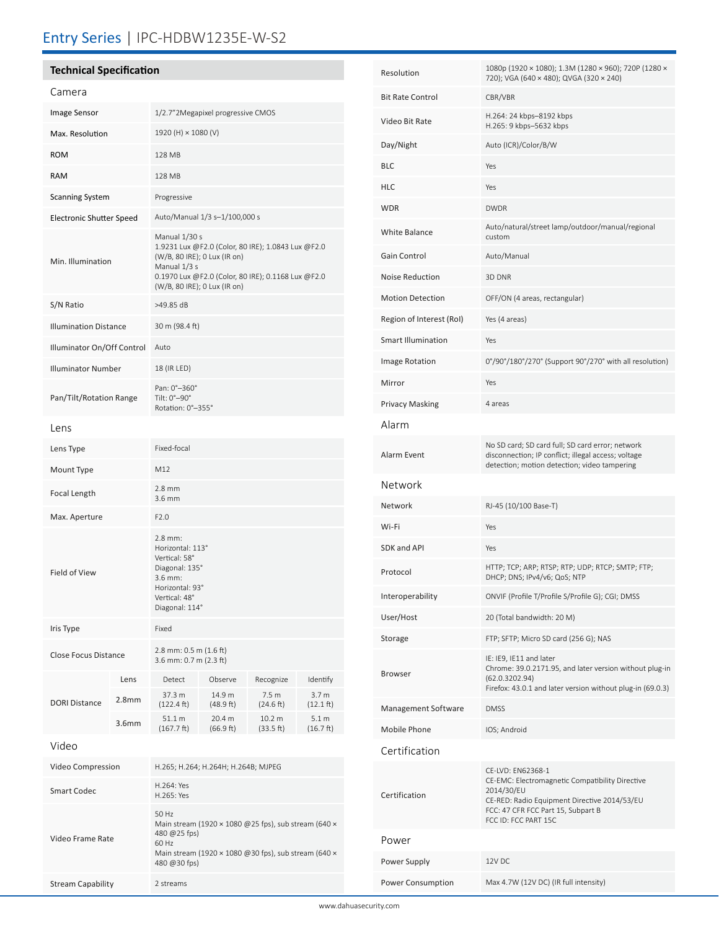## Entry Series | IPC-HDBW1235E-W-S2

## **Technical Specification**

| Camera                          |                   |                                                                                                                                                                                                           |                     |                                |                                         |
|---------------------------------|-------------------|-----------------------------------------------------------------------------------------------------------------------------------------------------------------------------------------------------------|---------------------|--------------------------------|-----------------------------------------|
| Image Sensor                    |                   | 1/2.7"2Megapixel progressive CMOS                                                                                                                                                                         |                     |                                |                                         |
| Max. Resolution                 |                   | 1920 (H) × 1080 (V)                                                                                                                                                                                       |                     |                                |                                         |
| <b>ROM</b>                      |                   | 128 MB                                                                                                                                                                                                    |                     |                                |                                         |
| <b>RAM</b>                      |                   | 128 MB                                                                                                                                                                                                    |                     |                                |                                         |
| <b>Scanning System</b>          |                   | Progressive                                                                                                                                                                                               |                     |                                |                                         |
| <b>Electronic Shutter Speed</b> |                   | Auto/Manual 1/3 s-1/100,000 s                                                                                                                                                                             |                     |                                |                                         |
| Min. Illumination               |                   | Manual 1/30 s<br>1.9231 Lux @F2.0 (Color, 80 IRE); 1.0843 Lux @F2.0<br>(W/B, 80 IRE); 0 Lux (IR on)<br>Manual 1/3 s<br>0.1970 Lux @F2.0 (Color, 80 IRE); 0.1168 Lux @F2.0<br>(W/B, 80 IRE); 0 Lux (IR on) |                     |                                |                                         |
| S/N Ratio                       |                   | >49.85 dB                                                                                                                                                                                                 |                     |                                |                                         |
| <b>Illumination Distance</b>    |                   | 30 m (98.4 ft)                                                                                                                                                                                            |                     |                                |                                         |
| Illuminator On/Off Control      |                   | Auto                                                                                                                                                                                                      |                     |                                |                                         |
| <b>Illuminator Number</b>       |                   | 18 (IR LED)                                                                                                                                                                                               |                     |                                |                                         |
| Pan/Tilt/Rotation Range         |                   | Pan: 0°-360°<br>Tilt: $0^\circ - 90^\circ$<br>Rotation: 0°-355°                                                                                                                                           |                     |                                |                                         |
| Lens                            |                   |                                                                                                                                                                                                           |                     |                                |                                         |
| Lens Type                       |                   | Fixed-focal                                                                                                                                                                                               |                     |                                |                                         |
| Mount Type                      |                   | M12                                                                                                                                                                                                       |                     |                                |                                         |
| Focal Length                    |                   | $2.8$ mm<br>3.6 mm                                                                                                                                                                                        |                     |                                |                                         |
| Max. Aperture                   |                   | F2.0                                                                                                                                                                                                      |                     |                                |                                         |
| Field of View                   |                   | $2.8$ mm:<br>Horizontal: 113°<br>Vertical: 58°<br>Diagonal: 135°<br>$3.6$ mm:<br>Horizontal: 93°<br>Vertical: 48°<br>Diagonal: 114°                                                                       |                     |                                |                                         |
| Iris Type                       |                   | Fixed                                                                                                                                                                                                     |                     |                                |                                         |
| Close Focus Distance            |                   | 2.8 mm: $0.5$ m $(1.6$ ft)<br>3.6 mm: 0.7 m (2.3 ft)                                                                                                                                                      |                     |                                |                                         |
| <b>DORI Distance</b>            | Lens              | Detect                                                                                                                                                                                                    | Observe             | Recognize                      | Identify                                |
|                                 | 2.8 <sub>mm</sub> | 37.3 m<br>$(122.4 \text{ ft})$                                                                                                                                                                            | 14.9 m<br>(48.9 ft) | 7.5 <sub>m</sub><br>(24.6 ft)  | 3.7 <sub>m</sub><br>$(12.1 \text{ ft})$ |
|                                 | 3.6 <sub>mm</sub> | 51.1 m<br>$(167.7 \text{ ft})$                                                                                                                                                                            | 20.4 m<br>(66.9 ft) | 10.2 <sub>m</sub><br>(33.5 ft) | 5.1 m<br>(16.7 ft)                      |
| Video                           |                   |                                                                                                                                                                                                           |                     |                                |                                         |
| Video Compression               |                   | H.265; H.264; H.264H; H.264B; MJPEG                                                                                                                                                                       |                     |                                |                                         |
| <b>Smart Codec</b>              |                   | H.264: Yes<br>H.265: Yes                                                                                                                                                                                  |                     |                                |                                         |
| Video Frame Rate                |                   | 50 Hz<br>Main stream (1920 × 1080 @25 fps), sub stream (640 ×<br>480 @25 fps)<br>60 Hz<br>Main stream (1920 × 1080 @30 fps), sub stream (640 ×<br>480 @30 fps)                                            |                     |                                |                                         |

Stream Capability 2 streams

| Resolution               | 1080p (1920 × 1080); 1.3M (1280 × 960); 720P (1280 ×<br>720); VGA (640 × 480); QVGA (320 × 240)                                                                                                  |
|--------------------------|--------------------------------------------------------------------------------------------------------------------------------------------------------------------------------------------------|
| Bit Rate Control         | CBR/VBR                                                                                                                                                                                          |
| Video Bit Rate           | H.264: 24 kbps-8192 kbps<br>H.265: 9 kbps-5632 kbps                                                                                                                                              |
| Day/Night                | Auto (ICR)/Color/B/W                                                                                                                                                                             |
| BLC                      | Yes                                                                                                                                                                                              |
| HLC                      | Yes                                                                                                                                                                                              |
| <b>WDR</b>               | <b>DWDR</b>                                                                                                                                                                                      |
| White Balance            | Auto/natural/street lamp/outdoor/manual/regional<br>custom                                                                                                                                       |
| Gain Control             | Auto/Manual                                                                                                                                                                                      |
| Noise Reduction          | 3D DNR                                                                                                                                                                                           |
| <b>Motion Detection</b>  | OFF/ON (4 areas, rectangular)                                                                                                                                                                    |
| Region of Interest (RoI) | Yes (4 areas)                                                                                                                                                                                    |
| Smart Illumination       | Yes                                                                                                                                                                                              |
| Image Rotation           | 0°/90°/180°/270° (Support 90°/270° with all resolution)                                                                                                                                          |
| Mirror                   | Yes                                                                                                                                                                                              |
| Privacy Masking          | 4 areas                                                                                                                                                                                          |
| Alarm                    |                                                                                                                                                                                                  |
| Alarm Event              | No SD card; SD card full; SD card error; network<br>disconnection; IP conflict; illegal access; voltage<br>detection; motion detection; video tampering                                          |
| Network                  |                                                                                                                                                                                                  |
| Network                  | RJ-45 (10/100 Base-T)                                                                                                                                                                            |
| Wi-Fi                    | Yes                                                                                                                                                                                              |
| SDK and API              | Yes                                                                                                                                                                                              |
| Protocol                 | HTTP; TCP; ARP; RTSP; RTP; UDP; RTCP; SMTP; FTP;<br>DHCP; DNS; IPv4/v6; QoS; NTP                                                                                                                 |
| Interoperability         | ONVIF (Profile T/Profile S/Profile G); CGI; DMSS                                                                                                                                                 |
| User/Host                | 20 (Total bandwidth: 20 M)                                                                                                                                                                       |
| Storage                  | FTP; SFTP; Micro SD card (256 G); NAS                                                                                                                                                            |
| Browser                  | IE: IE9, IE11 and later<br>Chrome: 39.0.2171.95, and later version without plug-in<br>(62.0.3202.94)<br>Firefox: 43.0.1 and later version without plug-in (69.0.3)                               |
| Management Software      | <b>DMSS</b>                                                                                                                                                                                      |
| Mobile Phone             | IOS; Android                                                                                                                                                                                     |
| Certification            |                                                                                                                                                                                                  |
| Certification            | CE-LVD: EN62368-1<br>CE-EMC: Electromagnetic Compatibility Directive<br>2014/30/EU<br>CE-RED: Radio Equipment Directive 2014/53/EU<br>FCC: 47 CFR FCC Part 15, Subpart B<br>FCC ID: FCC PART 15C |
| Power                    |                                                                                                                                                                                                  |
| Power Supply             | 12V DC                                                                                                                                                                                           |
| Power Consumption        | Max 4.7W (12V DC) (IR full intensity)                                                                                                                                                            |